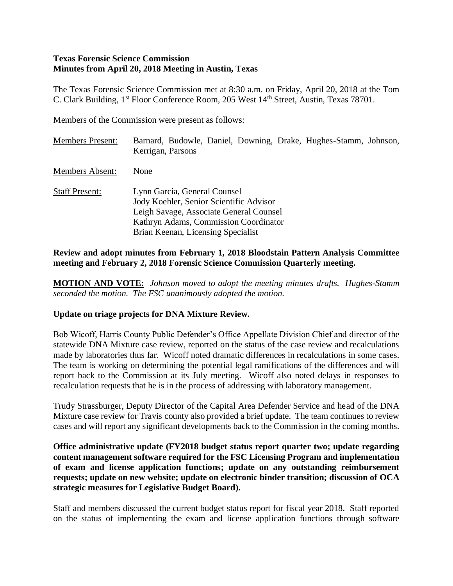### **Texas Forensic Science Commission Minutes from April 20, 2018 Meeting in Austin, Texas**

The Texas Forensic Science Commission met at 8:30 a.m. on Friday, April 20, 2018 at the Tom C. Clark Building, 1st Floor Conference Room, 205 West 14th Street, Austin, Texas 78701.

Members of the Commission were present as follows:

| <b>Members Present:</b> | Barnard, Budowle, Daniel, Downing, Drake, Hughes-Stamm, Johnson,<br>Kerrigan, Parsons                                                                                                             |
|-------------------------|---------------------------------------------------------------------------------------------------------------------------------------------------------------------------------------------------|
| <b>Members Absent:</b>  | None                                                                                                                                                                                              |
| <b>Staff Present:</b>   | Lynn Garcia, General Counsel<br>Jody Koehler, Senior Scientific Advisor<br>Leigh Savage, Associate General Counsel<br>Kathryn Adams, Commission Coordinator<br>Brian Keenan, Licensing Specialist |

### **Review and adopt minutes from February 1, 2018 Bloodstain Pattern Analysis Committee meeting and February 2, 2018 Forensic Science Commission Quarterly meeting.**

**MOTION AND VOTE:** *Johnson moved to adopt the meeting minutes drafts. Hughes-Stamm seconded the motion. The FSC unanimously adopted the motion.*

### **Update on triage projects for DNA Mixture Review.**

Bob Wicoff, Harris County Public Defender's Office Appellate Division Chief and director of the statewide DNA Mixture case review, reported on the status of the case review and recalculations made by laboratories thus far. Wicoff noted dramatic differences in recalculations in some cases. The team is working on determining the potential legal ramifications of the differences and will report back to the Commission at its July meeting. Wicoff also noted delays in responses to recalculation requests that he is in the process of addressing with laboratory management.

Trudy Strassburger, Deputy Director of the Capital Area Defender Service and head of the DNA Mixture case review for Travis county also provided a brief update. The team continues to review cases and will report any significant developments back to the Commission in the coming months.

**Office administrative update (FY2018 budget status report quarter two; update regarding content management software required for the FSC Licensing Program and implementation of exam and license application functions; update on any outstanding reimbursement requests; update on new website; update on electronic binder transition; discussion of OCA strategic measures for Legislative Budget Board).**

Staff and members discussed the current budget status report for fiscal year 2018. Staff reported on the status of implementing the exam and license application functions through software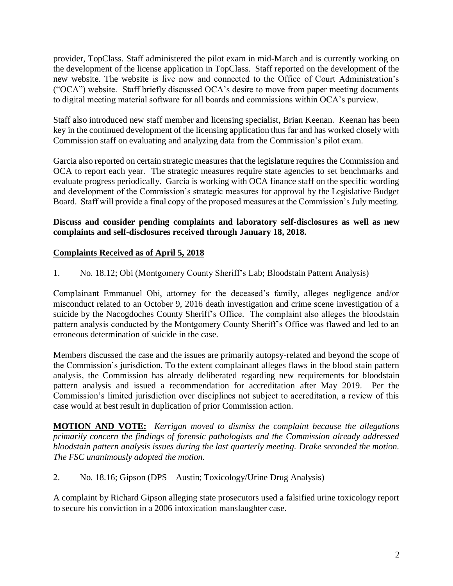provider, TopClass. Staff administered the pilot exam in mid-March and is currently working on the development of the license application in TopClass. Staff reported on the development of the new website. The website is live now and connected to the Office of Court Administration's ("OCA") website. Staff briefly discussed OCA's desire to move from paper meeting documents to digital meeting material software for all boards and commissions within OCA's purview.

Staff also introduced new staff member and licensing specialist, Brian Keenan. Keenan has been key in the continued development of the licensing application thus far and has worked closely with Commission staff on evaluating and analyzing data from the Commission's pilot exam.

Garcia also reported on certain strategic measures that the legislature requires the Commission and OCA to report each year. The strategic measures require state agencies to set benchmarks and evaluate progress periodically. Garcia is working with OCA finance staff on the specific wording and development of the Commission's strategic measures for approval by the Legislative Budget Board. Staff will provide a final copy of the proposed measures at the Commission's July meeting.

## **Discuss and consider pending complaints and laboratory self-disclosures as well as new complaints and self-disclosures received through January 18, 2018.**

## **Complaints Received as of April 5, 2018**

1. No. 18.12; Obi (Montgomery County Sheriff's Lab; Bloodstain Pattern Analysis)

Complainant Emmanuel Obi, attorney for the deceased's family, alleges negligence and/or misconduct related to an October 9, 2016 death investigation and crime scene investigation of a suicide by the Nacogdoches County Sheriff's Office. The complaint also alleges the bloodstain pattern analysis conducted by the Montgomery County Sheriff's Office was flawed and led to an erroneous determination of suicide in the case.

Members discussed the case and the issues are primarily autopsy-related and beyond the scope of the Commission's jurisdiction. To the extent complainant alleges flaws in the blood stain pattern analysis, the Commission has already deliberated regarding new requirements for bloodstain pattern analysis and issued a recommendation for accreditation after May 2019. Per the Commission's limited jurisdiction over disciplines not subject to accreditation, a review of this case would at best result in duplication of prior Commission action.

**MOTION AND VOTE:** *Kerrigan moved to dismiss the complaint because the allegations primarily concern the findings of forensic pathologists and the Commission already addressed bloodstain pattern analysis issues during the last quarterly meeting. Drake seconded the motion. The FSC unanimously adopted the motion.*

2. No. 18.16; Gipson (DPS – Austin; Toxicology/Urine Drug Analysis)

A complaint by Richard Gipson alleging state prosecutors used a falsified urine toxicology report to secure his conviction in a 2006 intoxication manslaughter case.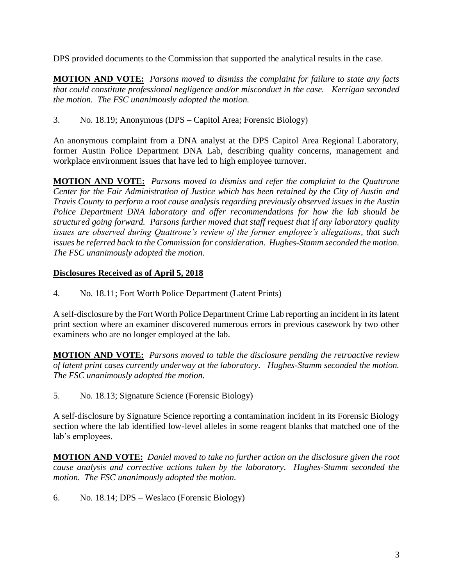DPS provided documents to the Commission that supported the analytical results in the case.

**MOTION AND VOTE:** *Parsons moved to dismiss the complaint for failure to state any facts that could constitute professional negligence and/or misconduct in the case. Kerrigan seconded the motion. The FSC unanimously adopted the motion.*

3. No. 18.19; Anonymous (DPS – Capitol Area; Forensic Biology)

An anonymous complaint from a DNA analyst at the DPS Capitol Area Regional Laboratory, former Austin Police Department DNA Lab, describing quality concerns, management and workplace environment issues that have led to high employee turnover.

**MOTION AND VOTE:** *Parsons moved to dismiss and refer the complaint to the Quattrone Center for the Fair Administration of Justice which has been retained by the City of Austin and Travis County to perform a root cause analysis regarding previously observed issues in the Austin Police Department DNA laboratory and offer recommendations for how the lab should be structured going forward. Parsons further moved that staff request that if any laboratory quality issues are observed during Quattrone's review of the former employee's allegations, that such issues be referred back to the Commission for consideration. Hughes-Stamm seconded the motion. The FSC unanimously adopted the motion.*

# **Disclosures Received as of April 5, 2018**

4. No. 18.11; Fort Worth Police Department (Latent Prints)

A self-disclosure by the Fort Worth Police Department Crime Lab reporting an incident in its latent print section where an examiner discovered numerous errors in previous casework by two other examiners who are no longer employed at the lab.

**MOTION AND VOTE:** *Parsons moved to table the disclosure pending the retroactive review of latent print cases currently underway at the laboratory. Hughes-Stamm seconded the motion. The FSC unanimously adopted the motion.*

5. No. 18.13; Signature Science (Forensic Biology)

A self-disclosure by Signature Science reporting a contamination incident in its Forensic Biology section where the lab identified low-level alleles in some reagent blanks that matched one of the lab's employees.

**MOTION AND VOTE:** *Daniel moved to take no further action on the disclosure given the root cause analysis and corrective actions taken by the laboratory. Hughes-Stamm seconded the motion. The FSC unanimously adopted the motion.*

6. No. 18.14; DPS – Weslaco (Forensic Biology)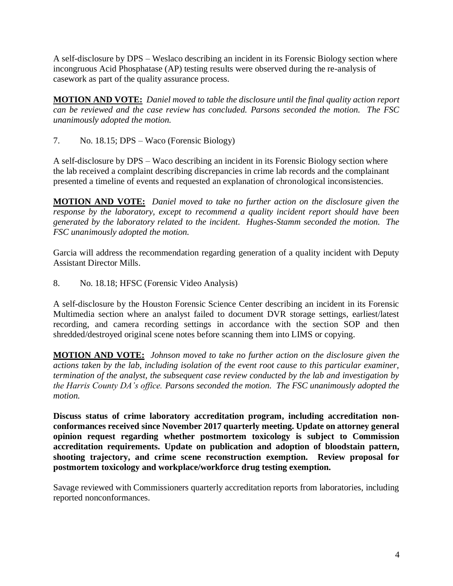A self-disclosure by DPS – Weslaco describing an incident in its Forensic Biology section where incongruous Acid Phosphatase (AP) testing results were observed during the re-analysis of casework as part of the quality assurance process.

**MOTION AND VOTE:** *Daniel moved to table the disclosure until the final quality action report can be reviewed and the case review has concluded. Parsons seconded the motion. The FSC unanimously adopted the motion.*

7. No. 18.15; DPS – Waco (Forensic Biology)

A self-disclosure by DPS – Waco describing an incident in its Forensic Biology section where the lab received a complaint describing discrepancies in crime lab records and the complainant presented a timeline of events and requested an explanation of chronological inconsistencies.

**MOTION AND VOTE:** *Daniel moved to take no further action on the disclosure given the response by the laboratory, except to recommend a quality incident report should have been generated by the laboratory related to the incident. Hughes-Stamm seconded the motion. The FSC unanimously adopted the motion.*

Garcia will address the recommendation regarding generation of a quality incident with Deputy Assistant Director Mills.

8. No. 18.18; HFSC (Forensic Video Analysis)

A self-disclosure by the Houston Forensic Science Center describing an incident in its Forensic Multimedia section where an analyst failed to document DVR storage settings, earliest/latest recording, and camera recording settings in accordance with the section SOP and then shredded/destroyed original scene notes before scanning them into LIMS or copying.

**MOTION AND VOTE:** *Johnson moved to take no further action on the disclosure given the actions taken by the lab, including isolation of the event root cause to this particular examiner, termination of the analyst, the subsequent case review conducted by the lab and investigation by the Harris County DA's office. Parsons seconded the motion. The FSC unanimously adopted the motion.*

**Discuss status of crime laboratory accreditation program, including accreditation nonconformances received since November 2017 quarterly meeting. Update on attorney general opinion request regarding whether postmortem toxicology is subject to Commission accreditation requirements. Update on publication and adoption of bloodstain pattern, shooting trajectory, and crime scene reconstruction exemption. Review proposal for postmortem toxicology and workplace/workforce drug testing exemption.**

Savage reviewed with Commissioners quarterly accreditation reports from laboratories, including reported nonconformances.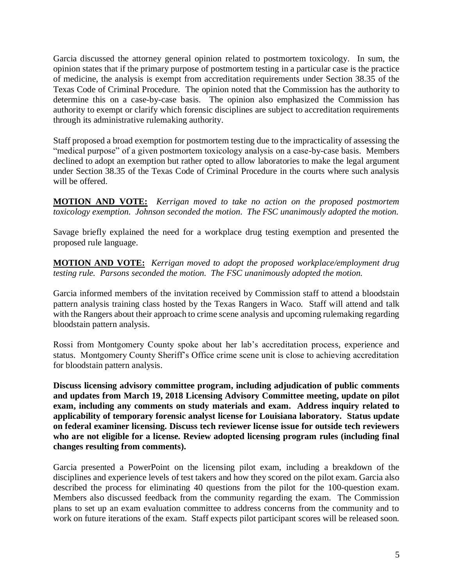Garcia discussed the attorney general opinion related to postmortem toxicology. In sum, the opinion states that if the primary purpose of postmortem testing in a particular case is the practice of medicine, the analysis is exempt from accreditation requirements under Section 38.35 of the Texas Code of Criminal Procedure. The opinion noted that the Commission has the authority to determine this on a case-by-case basis. The opinion also emphasized the Commission has authority to exempt or clarify which forensic disciplines are subject to accreditation requirements through its administrative rulemaking authority.

Staff proposed a broad exemption for postmortem testing due to the impracticality of assessing the "medical purpose" of a given postmortem toxicology analysis on a case-by-case basis. Members declined to adopt an exemption but rather opted to allow laboratories to make the legal argument under Section 38.35 of the Texas Code of Criminal Procedure in the courts where such analysis will be offered.

**MOTION AND VOTE:** *Kerrigan moved to take no action on the proposed postmortem toxicology exemption. Johnson seconded the motion. The FSC unanimously adopted the motion.*

Savage briefly explained the need for a workplace drug testing exemption and presented the proposed rule language.

**MOTION AND VOTE:** *Kerrigan moved to adopt the proposed workplace/employment drug testing rule. Parsons seconded the motion. The FSC unanimously adopted the motion.*

Garcia informed members of the invitation received by Commission staff to attend a bloodstain pattern analysis training class hosted by the Texas Rangers in Waco. Staff will attend and talk with the Rangers about their approach to crime scene analysis and upcoming rulemaking regarding bloodstain pattern analysis.

Rossi from Montgomery County spoke about her lab's accreditation process, experience and status. Montgomery County Sheriff's Office crime scene unit is close to achieving accreditation for bloodstain pattern analysis.

**Discuss licensing advisory committee program, including adjudication of public comments and updates from March 19, 2018 Licensing Advisory Committee meeting, update on pilot exam, including any comments on study materials and exam. Address inquiry related to applicability of temporary forensic analyst license for Louisiana laboratory. Status update on federal examiner licensing. Discuss tech reviewer license issue for outside tech reviewers who are not eligible for a license. Review adopted licensing program rules (including final changes resulting from comments).**

Garcia presented a PowerPoint on the licensing pilot exam, including a breakdown of the disciplines and experience levels of test takers and how they scored on the pilot exam. Garcia also described the process for eliminating 40 questions from the pilot for the 100-question exam. Members also discussed feedback from the community regarding the exam. The Commission plans to set up an exam evaluation committee to address concerns from the community and to work on future iterations of the exam. Staff expects pilot participant scores will be released soon.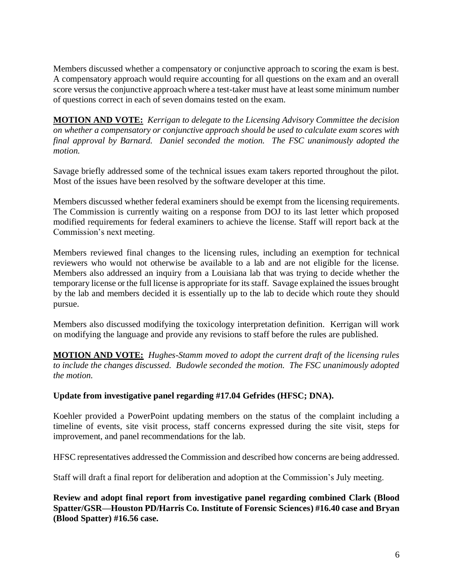Members discussed whether a compensatory or conjunctive approach to scoring the exam is best. A compensatory approach would require accounting for all questions on the exam and an overall score versus the conjunctive approach where a test-taker must have at least some minimum number of questions correct in each of seven domains tested on the exam.

**MOTION AND VOTE:** *Kerrigan to delegate to the Licensing Advisory Committee the decision on whether a compensatory or conjunctive approach should be used to calculate exam scores with final approval by Barnard. Daniel seconded the motion. The FSC unanimously adopted the motion.*

Savage briefly addressed some of the technical issues exam takers reported throughout the pilot. Most of the issues have been resolved by the software developer at this time.

Members discussed whether federal examiners should be exempt from the licensing requirements. The Commission is currently waiting on a response from DOJ to its last letter which proposed modified requirements for federal examiners to achieve the license. Staff will report back at the Commission's next meeting.

Members reviewed final changes to the licensing rules, including an exemption for technical reviewers who would not otherwise be available to a lab and are not eligible for the license. Members also addressed an inquiry from a Louisiana lab that was trying to decide whether the temporary license or the full license is appropriate for its staff. Savage explained the issues brought by the lab and members decided it is essentially up to the lab to decide which route they should pursue.

Members also discussed modifying the toxicology interpretation definition. Kerrigan will work on modifying the language and provide any revisions to staff before the rules are published.

**MOTION AND VOTE:** *Hughes-Stamm moved to adopt the current draft of the licensing rules to include the changes discussed. Budowle seconded the motion. The FSC unanimously adopted the motion.*

## **Update from investigative panel regarding #17.04 Gefrides (HFSC; DNA).**

Koehler provided a PowerPoint updating members on the status of the complaint including a timeline of events, site visit process, staff concerns expressed during the site visit, steps for improvement, and panel recommendations for the lab.

HFSC representatives addressed the Commission and described how concerns are being addressed.

Staff will draft a final report for deliberation and adoption at the Commission's July meeting.

**Review and adopt final report from investigative panel regarding combined Clark (Blood Spatter/GSR—Houston PD/Harris Co. Institute of Forensic Sciences) #16.40 case and Bryan (Blood Spatter) #16.56 case.**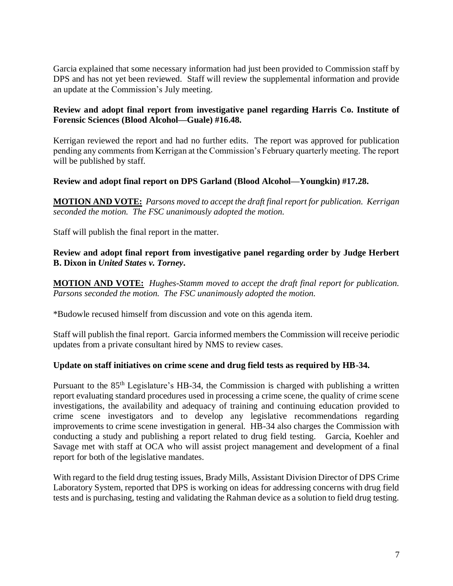Garcia explained that some necessary information had just been provided to Commission staff by DPS and has not yet been reviewed. Staff will review the supplemental information and provide an update at the Commission's July meeting.

### **Review and adopt final report from investigative panel regarding Harris Co. Institute of Forensic Sciences (Blood Alcohol—Guale) #16.48.**

Kerrigan reviewed the report and had no further edits. The report was approved for publication pending any comments from Kerrigan at the Commission's February quarterly meeting. The report will be published by staff.

### **Review and adopt final report on DPS Garland (Blood Alcohol—Youngkin) #17.28.**

**MOTION AND VOTE:** *Parsons moved to accept the draft final report for publication. Kerrigan seconded the motion. The FSC unanimously adopted the motion.*

Staff will publish the final report in the matter.

**Review and adopt final report from investigative panel regarding order by Judge Herbert B. Dixon in** *United States v. Torney***.**

**MOTION AND VOTE:** *Hughes-Stamm moved to accept the draft final report for publication. Parsons seconded the motion. The FSC unanimously adopted the motion.*

\*Budowle recused himself from discussion and vote on this agenda item.

Staff will publish the final report. Garcia informed members the Commission will receive periodic updates from a private consultant hired by NMS to review cases.

#### **Update on staff initiatives on crime scene and drug field tests as required by HB-34.**

Pursuant to the 85th Legislature's HB-34, the Commission is charged with publishing a written report evaluating standard procedures used in processing a crime scene, the quality of crime scene investigations, the availability and adequacy of training and continuing education provided to crime scene investigators and to develop any legislative recommendations regarding improvements to crime scene investigation in general. HB-34 also charges the Commission with conducting a study and publishing a report related to drug field testing. Garcia, Koehler and Savage met with staff at OCA who will assist project management and development of a final report for both of the legislative mandates.

With regard to the field drug testing issues, Brady Mills, Assistant Division Director of DPS Crime Laboratory System, reported that DPS is working on ideas for addressing concerns with drug field tests and is purchasing, testing and validating the Rahman device as a solution to field drug testing.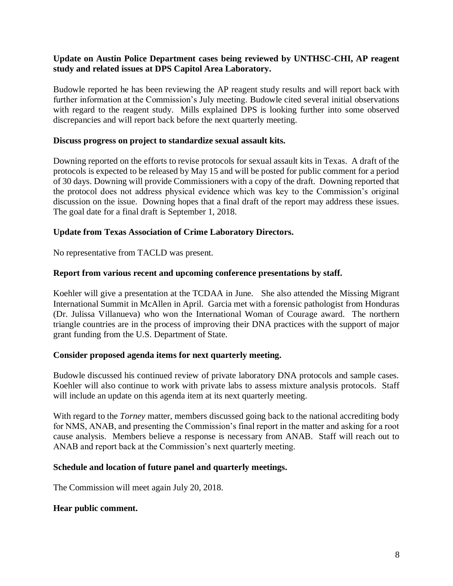### **Update on Austin Police Department cases being reviewed by UNTHSC-CHI, AP reagent study and related issues at DPS Capitol Area Laboratory.**

Budowle reported he has been reviewing the AP reagent study results and will report back with further information at the Commission's July meeting. Budowle cited several initial observations with regard to the reagent study. Mills explained DPS is looking further into some observed discrepancies and will report back before the next quarterly meeting.

#### **Discuss progress on project to standardize sexual assault kits.**

Downing reported on the efforts to revise protocols for sexual assault kits in Texas. A draft of the protocols is expected to be released by May 15 and will be posted for public comment for a period of 30 days. Downing will provide Commissioners with a copy of the draft. Downing reported that the protocol does not address physical evidence which was key to the Commission's original discussion on the issue. Downing hopes that a final draft of the report may address these issues. The goal date for a final draft is September 1, 2018.

#### **Update from Texas Association of Crime Laboratory Directors.**

No representative from TACLD was present.

#### **Report from various recent and upcoming conference presentations by staff.**

Koehler will give a presentation at the TCDAA in June. She also attended the Missing Migrant International Summit in McAllen in April. Garcia met with a forensic pathologist from Honduras (Dr. Julissa Villanueva) who won the International Woman of Courage award. The northern triangle countries are in the process of improving their DNA practices with the support of major grant funding from the U.S. Department of State.

#### **Consider proposed agenda items for next quarterly meeting.**

Budowle discussed his continued review of private laboratory DNA protocols and sample cases. Koehler will also continue to work with private labs to assess mixture analysis protocols. Staff will include an update on this agenda item at its next quarterly meeting.

With regard to the *Torney* matter, members discussed going back to the national accrediting body for NMS, ANAB, and presenting the Commission's final report in the matter and asking for a root cause analysis. Members believe a response is necessary from ANAB. Staff will reach out to ANAB and report back at the Commission's next quarterly meeting.

#### **Schedule and location of future panel and quarterly meetings.**

The Commission will meet again July 20, 2018.

#### **Hear public comment.**